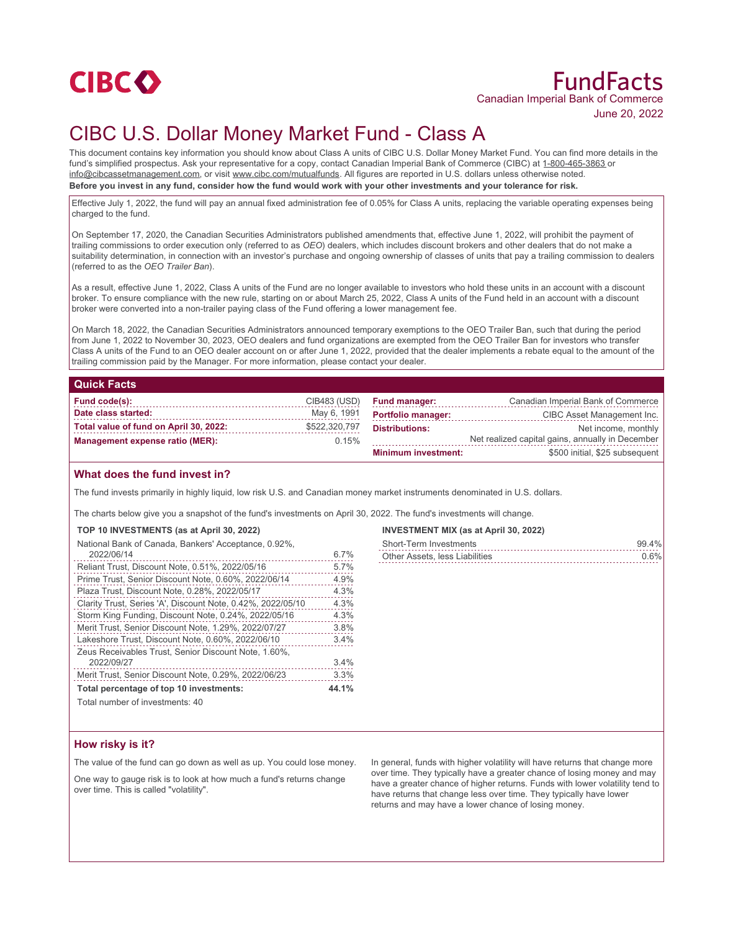

# CIBC U.S. Dollar Money Market Fund - Class A

This document contains key information you should know about Class A units of CIBC U.S. Dollar Money Market Fund. You can find more details in the fund's simplified prospectus. Ask your representative for a copy, contact Canadian Imperial Bank of Commerce (CIBC) at 1-800-465-3863 or info@cibcassetmanagement.com, or visit www.cibc.com/mutualfunds. All figures are reported in U.S. dollars unless otherwise noted. **Before you invest in any fund, consider how the fund would work with your other investments and your tolerance for risk.**

Effective July 1, 2022, the fund will pay an annual fixed administration fee of 0.05% for Class A units, replacing the variable operating expenses being charged to the fund.

On September 17, 2020, the Canadian Securities Administrators published amendments that, effective June 1, 2022, will prohibit the payment of trailing commissions to order execution only (referred to as *OEO*) dealers, which includes discount brokers and other dealers that do not make a suitability determination, in connection with an investor's purchase and ongoing ownership of classes of units that pay a trailing commission to dealers (referred to as the *OEO Trailer Ban*).

As a result, effective June 1, 2022, Class A units of the Fund are no longer available to investors who hold these units in an account with a discount broker. To ensure compliance with the new rule, starting on or about March 25, 2022, Class A units of the Fund held in an account with a discount broker were converted into a non-trailer paying class of the Fund offering a lower management fee.

On March 18, 2022, the Canadian Securities Administrators announced temporary exemptions to the OEO Trailer Ban, such that during the period from June 1, 2022 to November 30, 2023, OEO dealers and fund organizations are exempted from the OEO Trailer Ban for investors who transfer Class A units of the Fund to an OEO dealer account on or after June 1, 2022, provided that the dealer implements a rebate equal to the amount of the trailing commission paid by the Manager. For more information, please contact your dealer.

### **Quick Facts**

| Fund code(s):                          | CIB483 (USD)  | <b>Fund manager:</b>       | Canadian Imperial Bank of Commerce               |
|----------------------------------------|---------------|----------------------------|--------------------------------------------------|
| Date class started:                    | May 6, 1991   | <b>Portfolio manager:</b>  | CIBC Asset Management Inc.                       |
| Total value of fund on April 30, 2022: | \$522,320,797 | <b>Distributions:</b>      | Net income, monthly                              |
| <b>Management expense ratio (MER):</b> | 0.15%         |                            | Net realized capital gains, annually in December |
|                                        |               | <b>Minimum investment:</b> | \$500 initial, \$25 subsequent                   |

## **What does the fund invest in?**

The fund invests primarily in highly liquid, low risk U.S. and Canadian money market instruments denominated in U.S. dollars.

The charts below give you a snapshot of the fund's investments on April 30, 2022. The fund's investments will change.

### **TOP 10 INVESTMENTS (as at April 30, 2022)**

| National Bank of Canada, Bankers' Acceptance, 0.92%,        |       |
|-------------------------------------------------------------|-------|
| 2022/06/14                                                  | 6.7%  |
| Reliant Trust, Discount Note, 0.51%, 2022/05/16             | 5.7%  |
| Prime Trust, Senior Discount Note, 0.60%, 2022/06/14        | 4.9%  |
| Plaza Trust, Discount Note, 0.28%, 2022/05/17               | 4.3%  |
| Clarity Trust, Series 'A', Discount Note, 0.42%, 2022/05/10 | 4.3%  |
| Storm King Funding, Discount Note, 0.24%, 2022/05/16        | 4.3%  |
| Merit Trust, Senior Discount Note, 1.29%, 2022/07/27        | 3.8%  |
| Lakeshore Trust, Discount Note, 0.60%, 2022/06/10           | 3.4%  |
| Zeus Receivables Trust. Senior Discount Note, 1.60%.        |       |
| 2022/09/27                                                  | 3.4%  |
| Merit Trust, Senior Discount Note, 0.29%, 2022/06/23        | 3.3%  |
| Total percentage of top 10 investments:                     | 44.1% |
|                                                             |       |

#### **INVESTMENT MIX (as at April 30, 2022)** Short-Term Investments 99.4%

| SHULETEHII IHVESHIIEHIS        | . ສສ. 470 |
|--------------------------------|-----------|
| Other Assets, less Liabilities | 0.6%      |
|                                |           |

#### Total number of investments: 40

## **How risky is it?**

The value of the fund can go down as well as up. You could lose money.

One way to gauge risk is to look at how much a fund's returns change over time. This is called "volatility".

In general, funds with higher volatility will have returns that change more over time. They typically have a greater chance of losing money and may have a greater chance of higher returns. Funds with lower volatility tend to have returns that change less over time. They typically have lower returns and may have a lower chance of losing money.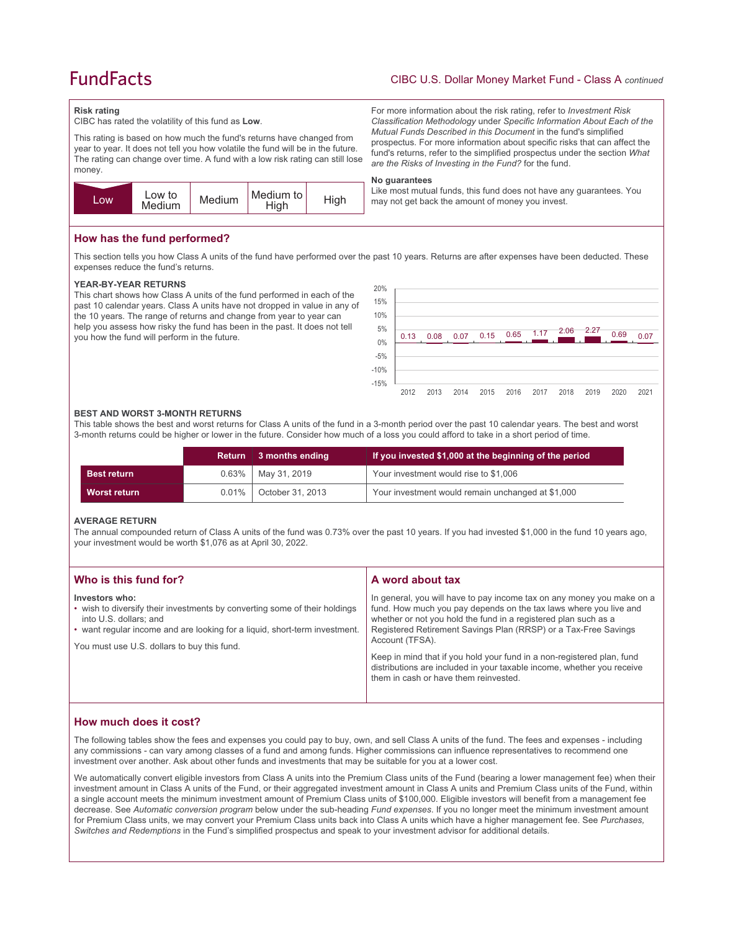# **FundFacts**

## CIBC U.S. Dollar Money Market Fund - Class A *continued*

For more information about the risk rating, refer to *Investment Risk Classification Methodology* under *Specific Information About Each of the Mutual Funds Described in this Document* in the fund's simplified prospectus. For more information about specific risks that can affect the fund's returns, refer to the simplified prospectus under the section *What* 

Like most mutual funds, this fund does not have any guarantees. You

*are the Risks of Investing in the Fund?* for the fund.

may not get back the amount of money you invest.

#### **Risk rating**

CIBC has rated the volatility of this fund as **Low**.

This rating is based on how much the fund's returns have changed from year to year. It does not tell you how volatile the fund will be in the future. The rating can change over time. A fund with a low risk rating can still lose money.



## **How has the fund performed?**

This section tells you how Class A units of the fund have performed over the past 10 years. Returns are after expenses have been deducted. These expenses reduce the fund's returns.

**No guarantees**

#### **YEAR-BY-YEAR RETURNS**

This chart shows how Class A units of the fund performed in each of the past 10 calendar years. Class A units have not dropped in value in any of the 10 years. The range of returns and change from year to year can help you assess how risky the fund has been in the past. It does not tell you how the fund will perform in the future.



#### **BEST AND WORST 3-MONTH RETURNS**

This table shows the best and worst returns for Class A units of the fund in a 3-month period over the past 10 calendar years. The best and worst 3-month returns could be higher or lower in the future. Consider how much of a loss you could afford to take in a short period of time.

|                    |          | Return 3 months ending  | If you invested \$1,000 at the beginning of the period |
|--------------------|----------|-------------------------|--------------------------------------------------------|
| <b>Best return</b> |          | $0.63\%$   May 31, 2019 | Your investment would rise to \$1,006                  |
| Worst return       | $0.01\%$ | October 31, 2013        | Your investment would remain unchanged at \$1,000      |

#### **AVERAGE RETURN**

The annual compounded return of Class A units of the fund was 0.73% over the past 10 years. If you had invested \$1,000 in the fund 10 years ago, your investment would be worth \$1,076 as at April 30, 2022.

| Who is this fund for?                                                                                                                                                                                                                               | A word about tax                                                                                                                                                                                                                                                                                                                                                                                                                                                                                  |
|-----------------------------------------------------------------------------------------------------------------------------------------------------------------------------------------------------------------------------------------------------|---------------------------------------------------------------------------------------------------------------------------------------------------------------------------------------------------------------------------------------------------------------------------------------------------------------------------------------------------------------------------------------------------------------------------------------------------------------------------------------------------|
| Investors who:<br>• wish to diversify their investments by converting some of their holdings<br>into U.S. dollars; and<br>• want regular income and are looking for a liquid, short-term investment.<br>You must use U.S. dollars to buy this fund. | In general, you will have to pay income tax on any money you make on a<br>fund. How much you pay depends on the tax laws where you live and<br>whether or not you hold the fund in a registered plan such as a<br>Registered Retirement Savings Plan (RRSP) or a Tax-Free Savings<br>Account (TFSA).<br>Keep in mind that if you hold your fund in a non-registered plan, fund<br>distributions are included in your taxable income, whether you receive<br>them in cash or have them reinvested. |
|                                                                                                                                                                                                                                                     |                                                                                                                                                                                                                                                                                                                                                                                                                                                                                                   |

## **How much does it cost?**

The following tables show the fees and expenses you could pay to buy, own, and sell Class A units of the fund. The fees and expenses - including any commissions - can vary among classes of a fund and among funds. Higher commissions can influence representatives to recommend one investment over another. Ask about other funds and investments that may be suitable for you at a lower cost.

We automatically convert eligible investors from Class A units into the Premium Class units of the Fund (bearing a lower management fee) when their investment amount in Class A units of the Fund, or their aggregated investment amount in Class A units and Premium Class units of the Fund, within a single account meets the minimum investment amount of Premium Class units of \$100,000. Eligible investors will benefit from a management fee decrease. See *Automatic conversion program* below under the sub-heading *Fund expenses*. If you no longer meet the minimum investment amount for Premium Class units, we may convert your Premium Class units back into Class A units which have a higher management fee. See *Purchases, Switches and Redemptions* in the Fund's simplified prospectus and speak to your investment advisor for additional details.